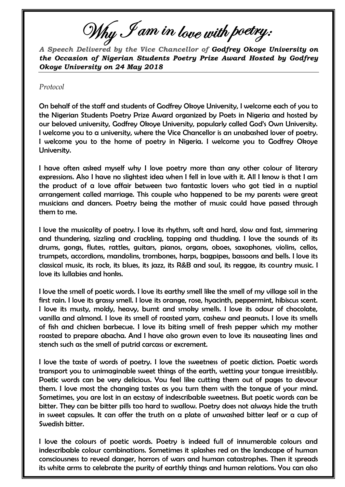Why I am in love with poetry:

*A Speech Delivered by the Vice Chancellor of Godfrey Okoye University on the Occasion of Nigerian Students Poetry Prize Award Hosted by Godfrey Okoye University on 24 May 2018*

*Protocol*

On behalf of the staff and students of Godfrey Okoye University, I welcome each of you to the Nigerian Students Poetry Prize Award organized by Poets in Nigeria and hosted by our beloved university, Godfrey Okoye University, popularly called God's Own University. I welcome you to a university, where the Vice Chancellor is an unabashed lover of poetry. I welcome you to the home of poetry in Nigeria. I welcome you to Godfrey Okoye University.

I have often asked myself why I love poetry more than any other colour of literary expressions. Also I have no slightest idea when I fell in love with it. All I know is that I am the product of a love affair between two fantastic lovers who got tied in a nuptial arrangement called marriage. This couple who happened to be my parents were great musicians and dancers. Poetry being the mother of music could have passed through them to me.

I love the musicality of poetry. I love its rhythm, soft and hard, slow and fast, simmering and thundering, sizzling and crackling, tapping and thudding. I love the sounds of its drums, gongs, flutes, rattles, guitars, pianos, organs, oboes, saxophones, violins, cellos, trumpets, accordions, mandolins, trombones, harps, bagpipes, bassoons and bells. I love its classical music, its rock, its blues, its jazz, its R&B and soul, its reggae, its country music. I love its lullabies and honks.

I love the smell of poetic words. I love its earthy smell like the smell of my village soil in the first rain. I love its grassy smell. I love its orange, rose, hyacinth, peppermint, hibiscus scent. I love its musty, moldy, heavy, burnt and smoky smells. I love its odour of chocolate, vanilla and almond. I love its smell of roasted yam, cashew and peanuts. I love its smells of fish and chicken barbecue. I love its biting smell of fresh pepper which my mother roasted to prepare abacha. And I have also grown even to love its nauseating lines and stench such as the smell of putrid carcass or excrement.

I love the taste of words of poetry. I love the sweetness of poetic diction. Poetic words transport you to unimaginable sweet things of the earth, wetting your tongue irresistibly. Poetic words can be very delicious. You feel like cutting them out of pages to devour them. I love most the changing tastes as you turn them with the tongue of your mind. Sometimes, you are lost in an ecstasy of indescribable sweetness. But poetic words can be bitter. They can be bitter pills too hard to swallow. Poetry does not always hide the truth in sweet capsules. It can offer the truth on a plate of unwashed bitter leaf or a cup of Swedish bitter.

I love the colours of poetic words. Poetry is indeed full of innumerable colours and indescribable colour combinations. Sometimes it splashes red on the landscape of human consciousness to reveal danger, horrors of wars and human catastrophes. Then it spreads its white arms to celebrate the purity of earthly things and human relations. You can also